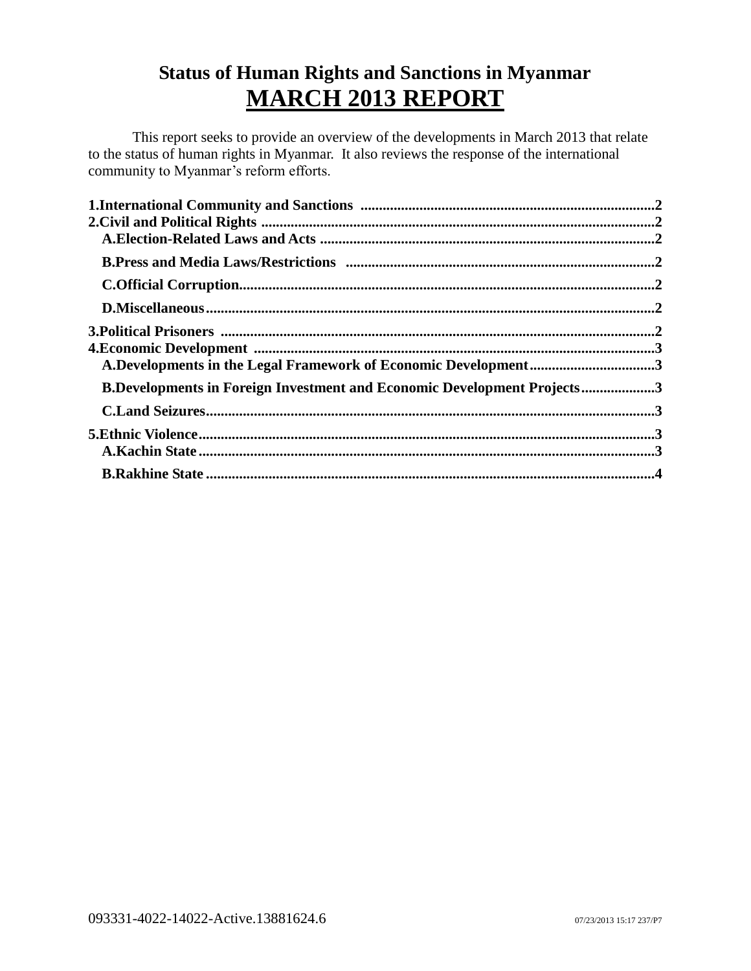# **Status of Human Rights and Sanctions in Myanmar MARCH 2013 REPORT**

This report seeks to provide an overview of the developments in March 2013 that relate to the status of human rights in Myanmar. It also reviews the response of the international community to Myanmar's reform efforts.

| A.Developments in the Legal Framework of Economic Development3                 |  |
|--------------------------------------------------------------------------------|--|
| <b>B.Developments in Foreign Investment and Economic Development Projects3</b> |  |
|                                                                                |  |
|                                                                                |  |
|                                                                                |  |
|                                                                                |  |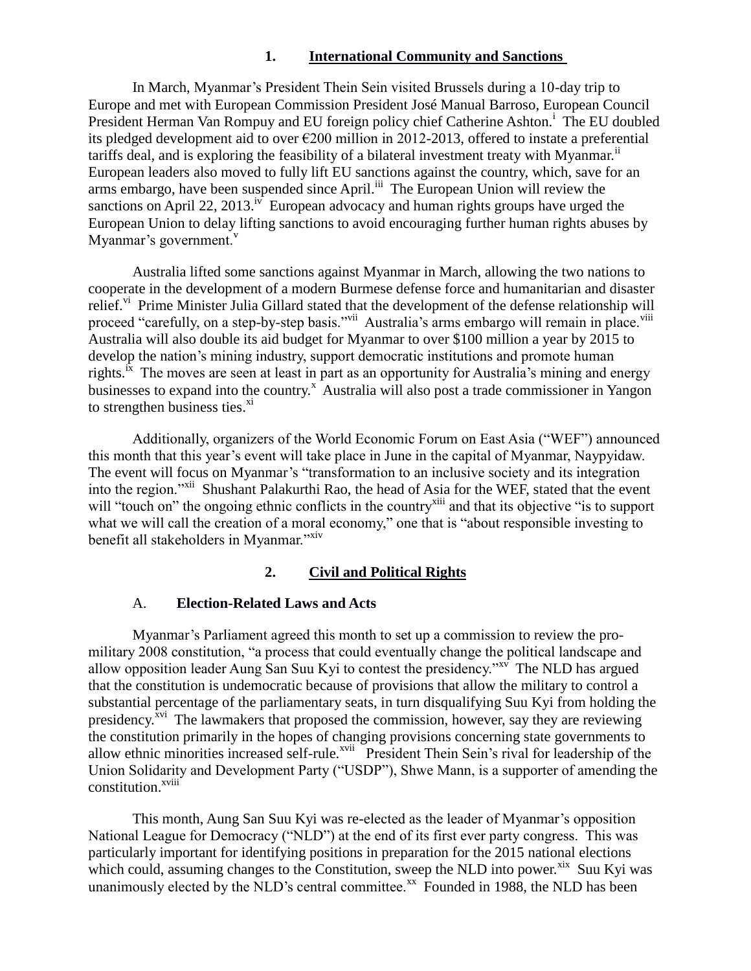# **1. International Community and Sanctions**

<span id="page-1-0"></span>In March, Myanmar's President Thein Sein visited Brussels during a 10-day trip to Europe and met with European Commission President José Manual Barroso, European Council President Herman Van Rompuy and EU foreign policy chief Catherine Ashton.<sup>i</sup> The EU doubled its pledged development aid to over €200 million in 2012-2013, offered to instate a preferential tariffs deal, and is exploring the feasibility of a bilateral investment treaty with Myanmar.<sup>ii</sup> European leaders also moved to fully lift EU sanctions against the country, which, save for an arms embargo, have been suspended since April.<sup>iii</sup> The European Union will review the sanctions on April 22, 2013.<sup>iv</sup> European advocacy and human rights groups have urged the European Union to delay lifting sanctions to avoid encouraging further human rights abuses by Myanmar's government.<sup>v</sup>

Australia lifted some sanctions against Myanmar in March, allowing the two nations to cooperate in the development of a modern Burmese defense force and humanitarian and disaster relief.<sup>vi</sup> Prime Minister Julia Gillard stated that the development of the defense relationship will proceed "carefully, on a step-by-step basis."<sup>vii</sup> Australia's arms embargo will remain in place.<sup>viii</sup> Australia will also double its aid budget for Myanmar to over \$100 million a year by 2015 to develop the nation's mining industry, support democratic institutions and promote human rights.  $\hat{x}$  The moves are seen at least in part as an opportunity for Australia's mining and energy businesses to expand into the country.<sup>x</sup> Australia will also post a trade commissioner in Yangon to strengthen business ties. $\frac{x}{1}$ 

Additionally, organizers of the World Economic Forum on East Asia ("WEF") announced this month that this year's event will take place in June in the capital of Myanmar, Naypyidaw. The event will focus on Myanmar's "transformation to an inclusive society and its integration into the region."<sup>xii</sup> Shushant Palakurthi Rao, the head of Asia for the WEF, stated that the event will "touch on" the ongoing ethnic conflicts in the country<sup>xiii</sup> and that its objective "is to support" what we will call the creation of a moral economy," one that is "about responsible investing to benefit all stakeholders in Myanmar."xiv

# **2. Civil and Political Rights**

# <span id="page-1-1"></span>A. **Election-Related Laws and Acts**

<span id="page-1-2"></span>Myanmar's Parliament agreed this month to set up a commission to review the promilitary 2008 constitution, "a process that could eventually change the political landscape and allow opposition leader Aung San Suu Kyi to contest the presidency."<sup>xv</sup> The NLD has argued that the constitution is undemocratic because of provisions that allow the military to control a substantial percentage of the parliamentary seats, in turn disqualifying Suu Kyi from holding the presidency.<sup>xvi</sup> The lawmakers that proposed the commission, however, say they are reviewing the constitution primarily in the hopes of changing provisions concerning state governments to allow ethnic minorities increased self-rule.<sup>xvii</sup> President Thein Sein's rival for leadership of the Union Solidarity and Development Party ("USDP"), Shwe Mann, is a supporter of amending the constitution.<sup>xviii</sup>

This month, Aung San Suu Kyi was re-elected as the leader of Myanmar's opposition National League for Democracy ("NLD") at the end of its first ever party congress. This was particularly important for identifying positions in preparation for the 2015 national elections which could, assuming changes to the Constitution, sweep the NLD into power.<sup>xix</sup> Suu Kyi was unanimously elected by the NLD's central committee.<sup>xx</sup> Founded in 1988, the NLD has been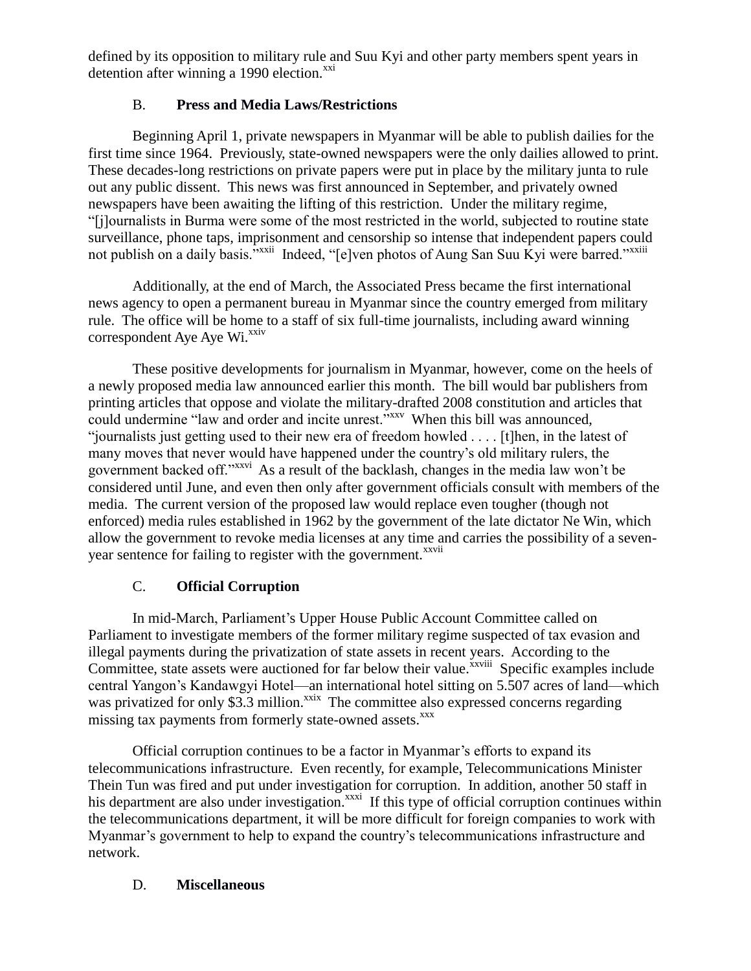defined by its opposition to military rule and Suu Kyi and other party members spent years in detention after winning a 1990 election.<sup>xxi</sup>

# B. **Press and Media Laws/Restrictions**

<span id="page-2-0"></span>Beginning April 1, private newspapers in Myanmar will be able to publish dailies for the first time since 1964. Previously, state-owned newspapers were the only dailies allowed to print. These decades-long restrictions on private papers were put in place by the military junta to rule out any public dissent. This news was first announced in September, and privately owned newspapers have been awaiting the lifting of this restriction. Under the military regime, "[j]ournalists in Burma were some of the most restricted in the world, subjected to routine state surveillance, phone taps, imprisonment and censorship so intense that independent papers could not publish on a daily basis."<sup>xxii</sup> Indeed, "[e]ven photos of Aung San Suu Kyi were barred."<sup>xxiii</sup>

Additionally, at the end of March, the Associated Press became the first international news agency to open a permanent bureau in Myanmar since the country emerged from military rule. The office will be home to a staff of six full-time journalists, including award winning  $correspondent$  Aye Aye Wi. $^{xxiv}$ 

These positive developments for journalism in Myanmar, however, come on the heels of a newly proposed media law announced earlier this month. The bill would bar publishers from printing articles that oppose and violate the military-drafted 2008 constitution and articles that could undermine "law and order and incite unrest."<sup>xxv</sup> When this bill was announced, "journalists just getting used to their new era of freedom howled . . . . [t]hen, in the latest of many moves that never would have happened under the country's old military rulers, the government backed off."xxvi As a result of the backlash, changes in the media law won't be considered until June, and even then only after government officials consult with members of the media. The current version of the proposed law would replace even tougher (though not enforced) media rules established in 1962 by the government of the late dictator Ne Win, which allow the government to revoke media licenses at any time and carries the possibility of a sevenyear sentence for failing to register with the government.<sup>xxvii</sup>

# C. **Official Corruption**

<span id="page-2-1"></span>In mid-March, Parliament's Upper House Public Account Committee called on Parliament to investigate members of the former military regime suspected of tax evasion and illegal payments during the privatization of state assets in recent years. According to the Committee, state assets were auctioned for far below their value.<sup>xxviii</sup> Specific examples include central Yangon's Kandawgyi Hotel—an international hotel sitting on 5.507 acres of land—which was privatized for only \$3.3 million.<sup>xxix</sup> The committee also expressed concerns regarding missing tax payments from formerly state-owned assets.<sup>xxx</sup>

Official corruption continues to be a factor in Myanmar's efforts to expand its telecommunications infrastructure. Even recently, for example, Telecommunications Minister Thein Tun was fired and put under investigation for corruption. In addition, another 50 staff in his department are also under investigation.<sup>xxxi</sup> If this type of official corruption continues within the telecommunications department, it will be more difficult for foreign companies to work with Myanmar's government to help to expand the country's telecommunications infrastructure and network.

# <span id="page-2-2"></span>D. **Miscellaneous**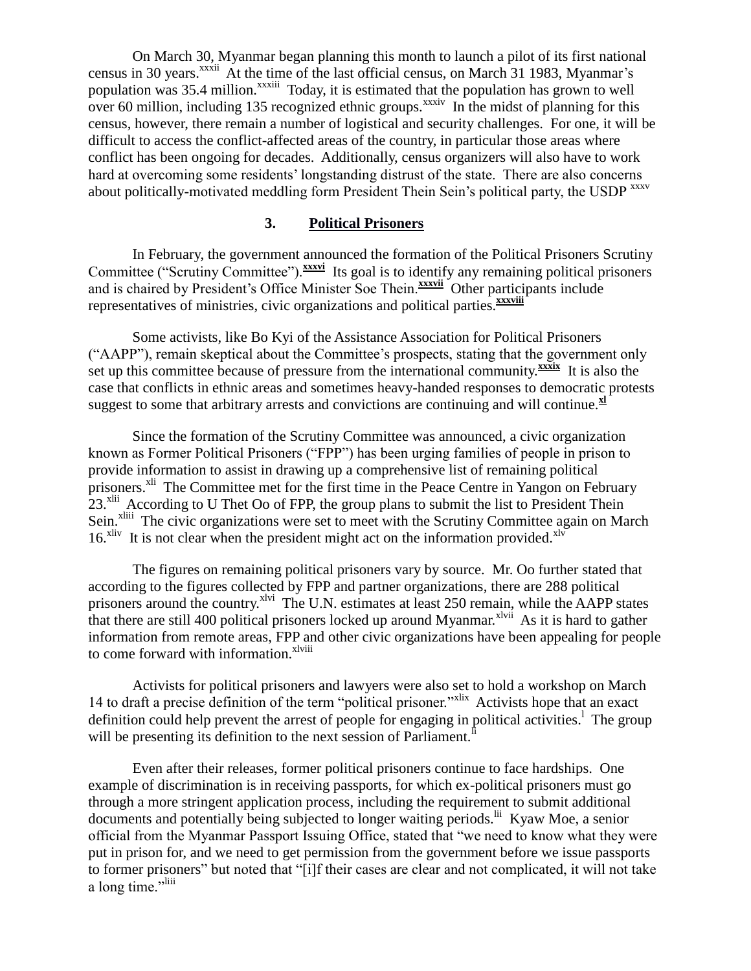On March 30, Myanmar began planning this month to launch a pilot of its first national census in 30 years.<sup>xxxii</sup> At the time of the last official census, on March 31 1983, Myanmar's population was 35.4 million.<sup>xxxiii</sup> Today, it is estimated that the population has grown to well over 60 million, including 135 recognized ethnic groups.<sup>xxxiv</sup> In the midst of planning for this census, however, there remain a number of logistical and security challenges. For one, it will be difficult to access the conflict-affected areas of the country, in particular those areas where conflict has been ongoing for decades. Additionally, census organizers will also have to work hard at overcoming some residents' longstanding distrust of the state. There are also concerns about politically-motivated meddling form President Thein Sein's political party, the USDP xxxv

# **3. Political Prisoners**

<span id="page-3-0"></span>In February, the government announced the formation of the Political Prisoners Scrutiny Committee ("Scrutiny Committee"). **xxxvi** Its goal is to identify any remaining political prisoners and is chaired by President's Office Minister Soe Thein.<sup>xxxvii</sup> Other participants include representatives of ministries, civic organizations and political parties.**xxxviii**

Some activists, like Bo Kyi of the Assistance Association for Political Prisoners ("AAPP"), remain skeptical about the Committee's prospects, stating that the government only set up this committee because of pressure from the international community.<sup>xxxix</sup> It is also the case that conflicts in ethnic areas and sometimes heavy-handed responses to democratic protests suggest to some that arbitrary arrests and convictions are continuing and will continue.<sup>xl</sup>

Since the formation of the Scrutiny Committee was announced, a civic organization known as Former Political Prisoners ("FPP") has been urging families of people in prison to provide information to assist in drawing up a comprehensive list of remaining political prisoners.<sup>xli</sup> The Committee met for the first time in the Peace Centre in Yangon on February  $23.^<sub>x</sub>$ lii According to U Thet Oo of FPP, the group plans to submit the list to President Thein Sein.<sup>xliii</sup> The civic organizations were set to meet with the Scrutiny Committee again on March  $16.^{\text{Niv}}$  It is not clear when the president might act on the information provided.<sup>xlv</sup>

The figures on remaining political prisoners vary by source. Mr. Oo further stated that according to the figures collected by FPP and partner organizations, there are 288 political prisoners around the country.<sup>xlvi</sup> The U.N. estimates at least 250 remain, while the AAPP states that there are still 400 political prisoners locked up around Myanmar.<sup>xlvii</sup> As it is hard to gather information from remote areas, FPP and other civic organizations have been appealing for people to come forward with information.<sup>xlviii</sup>

Activists for political prisoners and lawyers were also set to hold a workshop on March 14 to draft a precise definition of the term "political prisoner."<sup>xlix</sup> Activists hope that an exact definition could help prevent the arrest of people for engaging in political activities.<sup>1</sup> The group will be presenting its definition to the next session of Parliament.<sup>li</sup>

Even after their releases, former political prisoners continue to face hardships. One example of discrimination is in receiving passports, for which ex-political prisoners must go through a more stringent application process, including the requirement to submit additional documents and potentially being subjected to longer waiting periods.<sup>lii</sup> Kyaw Moe, a senior official from the Myanmar Passport Issuing Office, stated that "we need to know what they were put in prison for, and we need to get permission from the government before we issue passports to former prisoners" but noted that "[i]f their cases are clear and not complicated, it will not take a long time."<sup>liii</sup>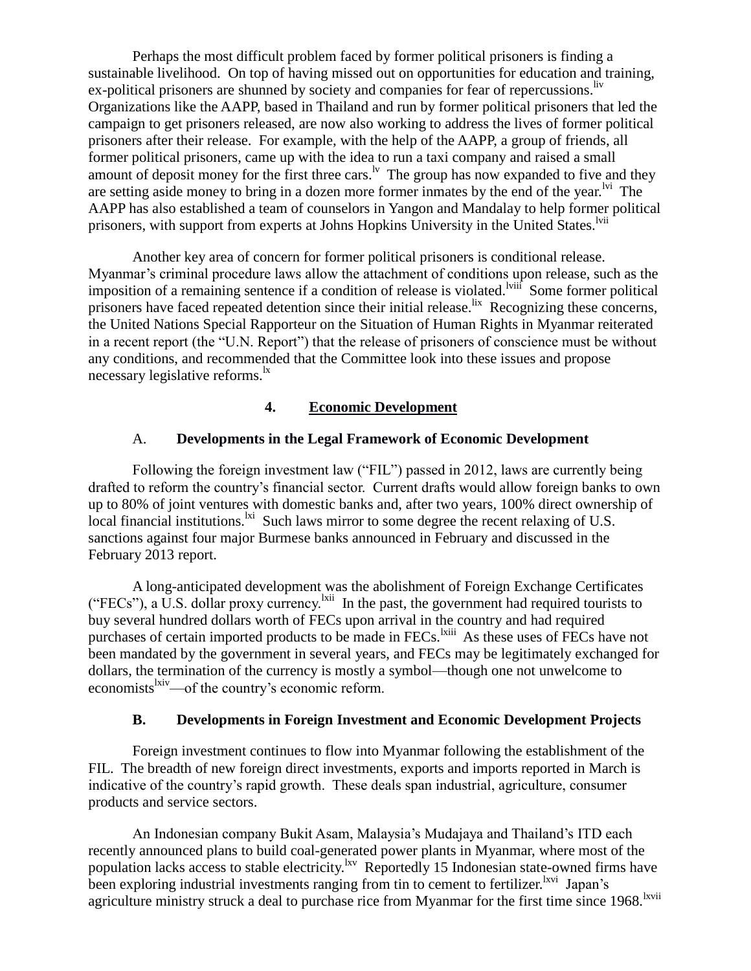Perhaps the most difficult problem faced by former political prisoners is finding a sustainable livelihood. On top of having missed out on opportunities for education and training, ex-political prisoners are shunned by society and companies for fear of repercussions. Iv Organizations like the AAPP, based in Thailand and run by former political prisoners that led the campaign to get prisoners released, are now also working to address the lives of former political prisoners after their release. For example, with the help of the AAPP, a group of friends, all former political prisoners, came up with the idea to run a taxi company and raised a small amount of deposit money for the first three cars.<sup>lv</sup> The group has now expanded to five and they are setting aside money to bring in a dozen more former inmates by the end of the year.<sup> $\frac{1}{1}$ </sup> The AAPP has also established a team of counselors in Yangon and Mandalay to help former political prisoners, with support from experts at Johns Hopkins University in the United States.<sup>Ivii</sup>

Another key area of concern for former political prisoners is conditional release. Myanmar's criminal procedure laws allow the attachment of conditions upon release, such as the imposition of a remaining sentence if a condition of release is violated.<sup>Iviif</sup> Some former political prisoners have faced repeated detention since their initial release. <sup>lix</sup> Recognizing these concerns, the United Nations Special Rapporteur on the Situation of Human Rights in Myanmar reiterated in a recent report (the "U.N. Report") that the release of prisoners of conscience must be without any conditions, and recommended that the Committee look into these issues and propose necessary legislative reforms.<sup>1x</sup>

# **4. Economic Development**

# <span id="page-4-0"></span>A. **Developments in the Legal Framework of Economic Development**

<span id="page-4-1"></span>Following the foreign investment law ("FIL") passed in 2012, laws are currently being drafted to reform the country's financial sector. Current drafts would allow foreign banks to own up to 80% of joint ventures with domestic banks and, after two years, 100% direct ownership of local financial institutions.<sup>1xi</sup> Such laws mirror to some degree the recent relaxing of U.S. sanctions against four major Burmese banks announced in February and discussed in the February 2013 report.

A long-anticipated development was the abolishment of Foreign Exchange Certificates ("FECs"), a U.S. dollar proxy currency.<sup>1xii</sup> In the past, the government had required tourists to buy several hundred dollars worth of FECs upon arrival in the country and had required purchases of certain imported products to be made in FECs.<sup>lxiii</sup> As these uses of FECs have not been mandated by the government in several years, and FECs may be legitimately exchanged for dollars, the termination of the currency is mostly a symbol—though one not unwelcome to economists<sup>lxiv</sup>—of the country's economic reform.

# **B. Developments in Foreign Investment and Economic Development Projects**

<span id="page-4-2"></span>Foreign investment continues to flow into Myanmar following the establishment of the FIL. The breadth of new foreign direct investments, exports and imports reported in March is indicative of the country's rapid growth. These deals span industrial, agriculture, consumer products and service sectors.

An Indonesian company Bukit Asam, Malaysia's Mudajaya and Thailand's ITD each recently announced plans to build coal-generated power plants in Myanmar, where most of the population lacks access to stable electricity. Reportedly 15 Indonesian state-owned firms have been exploring industrial investments ranging from tin to cement to fertilizer.<sup>lxvi</sup> Japan's agriculture ministry struck a deal to purchase rice from Myanmar for the first time since 1968.<sup>lxvii</sup>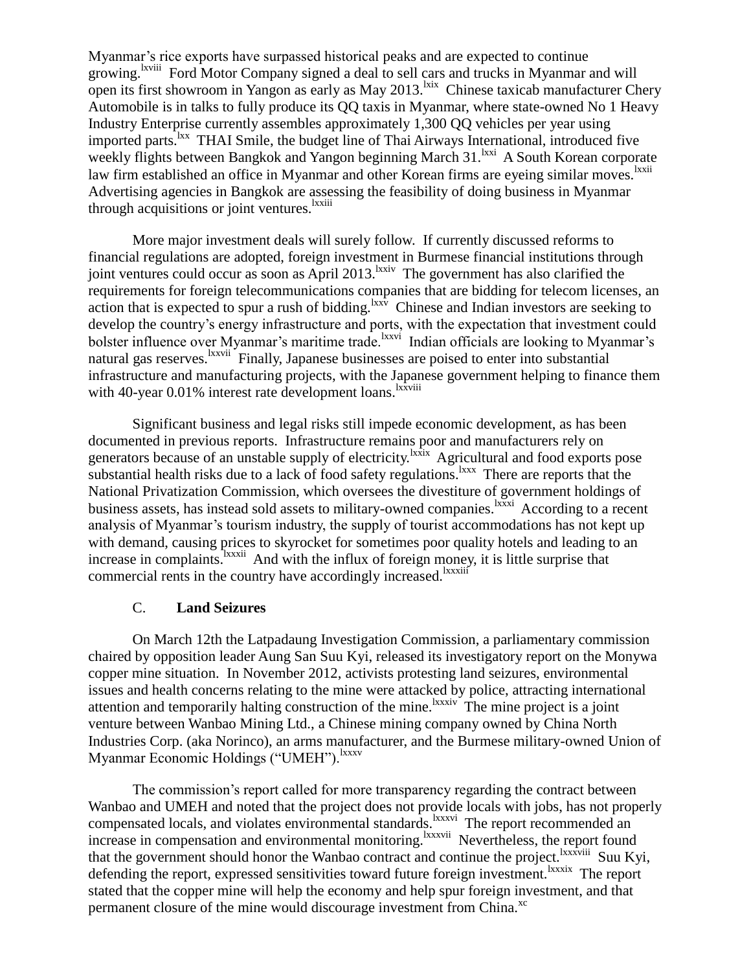Myanmar's rice exports have surpassed historical peaks and are expected to continue growing.<sup>Ixviii</sup> Ford Motor Company signed a deal to sell cars and trucks in Myanmar and will open its first showroom in Yangon as early as May 2013. <sup>kix</sup> Chinese taxicab manufacturer Chery Automobile is in talks to fully produce its QQ taxis in Myanmar, where state-owned No 1 Heavy Industry Enterprise currently assembles approximately 1,300 QQ vehicles per year using imported parts.<sup>1xx</sup> THAI Smile, the budget line of Thai Airways International, introduced five weekly flights between Bangkok and Yangon beginning March 31. Kxi A South Korean corporate law firm established an office in Myanmar and other Korean firms are eyeing similar moves.<sup>1xxii</sup> Advertising agencies in Bangkok are assessing the feasibility of doing business in Myanmar through acquisitions or joint ventures.<sup>lxxiii</sup>

More major investment deals will surely follow. If currently discussed reforms to financial regulations are adopted, foreign investment in Burmese financial institutions through joint ventures could occur as soon as April 2013.<sup>Ixxiv</sup> The government has also clarified the requirements for foreign telecommunications companies that are bidding for telecom licenses, an action that is expected to spur a rush of bidding.  ${}^{lxx\bar{v}}$  Chinese and Indian investors are seeking to develop the country's energy infrastructure and ports, with the expectation that investment could bolster influence over Myanmar's maritime trade.<sup>lxxvi</sup> Indian officials are looking to Myanmar's natural gas reserves. <sup>Ixxvii</sup> Finally, Japanese businesses are poised to enter into substantial infrastructure and manufacturing projects, with the Japanese government helping to finance them with 40-year 0.01% interest rate development loans.<sup>lxxviii</sup>

Significant business and legal risks still impede economic development, as has been documented in previous reports. Infrastructure remains poor and manufacturers rely on generators because of an unstable supply of electricity. <sup>Ixxix</sup> Agricultural and food exports pose substantial health risks due to a lack of food safety regulations.<sup>1xxx</sup> There are reports that the National Privatization Commission, which oversees the divestiture of government holdings of business assets, has instead sold assets to military-owned companies.<sup>Ixxxi</sup> According to a recent analysis of Myanmar's tourism industry, the supply of tourist accommodations has not kept up with demand, causing prices to skyrocket for sometimes poor quality hotels and leading to an increase in complaints.<sup>Ixxxii</sup> And with the influx of foreign money, it is little surprise that commercial rents in the country have accordingly increased.<sup>lxxxiii</sup>

# C. **Land Seizures**

<span id="page-5-0"></span>On March 12th the Latpadaung Investigation Commission, a parliamentary commission chaired by opposition leader Aung San Suu Kyi, released its investigatory report on the Monywa copper mine situation. In November 2012, activists protesting land seizures, environmental issues and health concerns relating to the mine were attacked by police, attracting international attention and temporarily halting construction of the mine.<sup>lxxxiv</sup> The mine project is a joint venture between Wanbao Mining Ltd., a Chinese mining company owned by China North Industries Corp. (aka Norinco), an arms manufacturer, and the Burmese military-owned Union of Myanmar Economic Holdings ("UMEH").<sup>lxxxv</sup>

The commission's report called for more transparency regarding the contract between Wanbao and UMEH and noted that the project does not provide locals with jobs, has not properly compensated locals, and violates environmental standards.<sup>lxxxvi</sup> The report recommended an increase in compensation and environmental monitoring. <sup>Ixxxvii</sup> Nevertheless, the report found that the government should honor the Wanbao contract and continue the project. IXXXVIII Suu Kyi, defending the report, expressed sensitivities toward future foreign investment.<sup>1xxxix</sup> The report stated that the copper mine will help the economy and help spur foreign investment, and that permanent closure of the mine would discourage investment from China.<sup>xc</sup>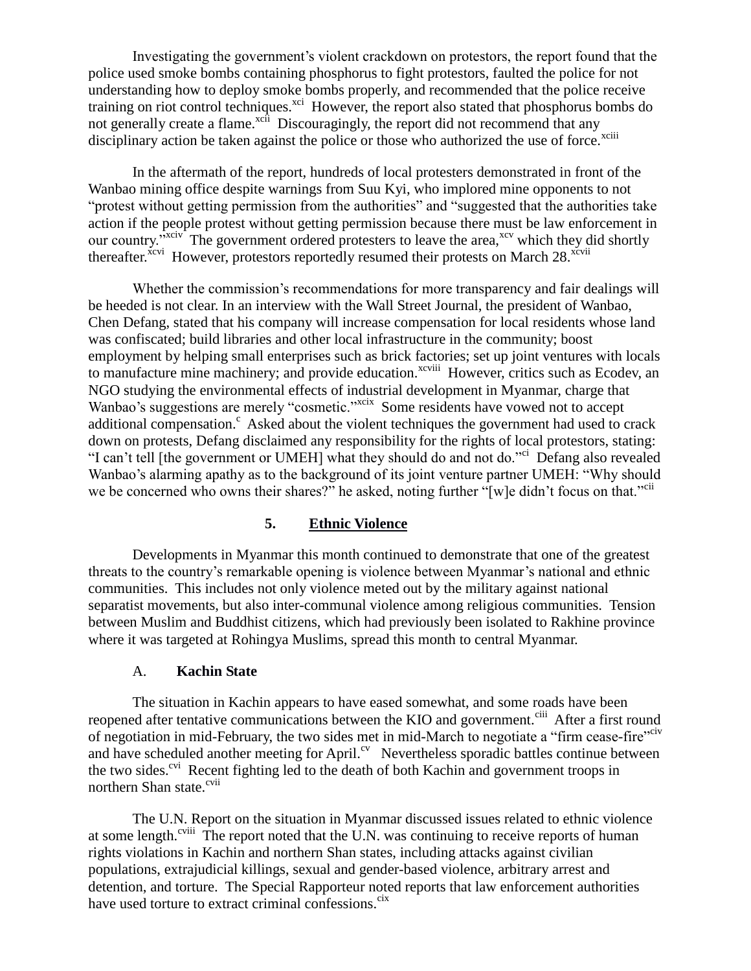Investigating the government's violent crackdown on protestors, the report found that the police used smoke bombs containing phosphorus to fight protestors, faulted the police for not understanding how to deploy smoke bombs properly, and recommended that the police receive training on riot control techniques.<sup>xci</sup> However, the report also stated that phosphorus bombs do not generally create a flame.<sup>xcii</sup> Discouragingly, the report did not recommend that any disciplinary action be taken against the police or those who authorized the use of force.<sup>xciii</sup>

In the aftermath of the report, hundreds of local protesters demonstrated in front of the Wanbao mining office despite warnings from Suu Kyi, who implored mine opponents to not "protest without getting permission from the authorities" and "suggested that the authorities take action if the people protest without getting permission because there must be law enforcement in our country."<sup>xciv</sup> The government ordered protesters to leave the area,<sup>xcv</sup> which they did shortly thereafter.<sup>xcvi</sup> However, protestors reportedly resumed their protests on March 28.<sup>xcvii</sup>

Whether the commission's recommendations for more transparency and fair dealings will be heeded is not clear. In an interview with the Wall Street Journal, the president of Wanbao, Chen Defang, stated that his company will increase compensation for local residents whose land was confiscated; build libraries and other local infrastructure in the community; boost employment by helping small enterprises such as brick factories; set up joint ventures with locals to manufacture mine machinery; and provide education.<sup>xcviii</sup> However, critics such as Ecodev, an NGO studying the environmental effects of industrial development in Myanmar, charge that Wanbao's suggestions are merely "cosmetic."<sup>xcix</sup> Some residents have vowed not to accept additional compensation. $\epsilon$  Asked about the violent techniques the government had used to crack down on protests, Defang disclaimed any responsibility for the rights of local protestors, stating: "I can't tell [the government or UMEH] what they should do and not do."<sup>ci</sup> Defang also revealed Wanbao's alarming apathy as to the background of its joint venture partner UMEH: "Why should we be concerned who owns their shares?" he asked, noting further "[w]e didn't focus on that."<sup>cii</sup>

# **5. Ethnic Violence**

<span id="page-6-0"></span>Developments in Myanmar this month continued to demonstrate that one of the greatest threats to the country's remarkable opening is violence between Myanmar's national and ethnic communities. This includes not only violence meted out by the military against national separatist movements, but also inter-communal violence among religious communities. Tension between Muslim and Buddhist citizens, which had previously been isolated to Rakhine province where it was targeted at Rohingya Muslims, spread this month to central Myanmar.

# A. **Kachin State**

<span id="page-6-1"></span>The situation in Kachin appears to have eased somewhat, and some roads have been reopened after tentative communications between the KIO and government.<sup>ciii</sup> After a first round of negotiation in mid-February, the two sides met in mid-March to negotiate a "firm cease-fire" and have scheduled another meeting for April.<sup>cv</sup> Nevertheless sporadic battles continue between the two sides.<sup>cvi</sup> Recent fighting led to the death of both Kachin and government troops in northern Shan state.<sup>cvii</sup>

The U.N. Report on the situation in Myanmar discussed issues related to ethnic violence at some length.<sup>cviii</sup> The report noted that the U.N. was continuing to receive reports of human rights violations in Kachin and northern Shan states, including attacks against civilian populations, extrajudicial killings, sexual and gender-based violence, arbitrary arrest and detention, and torture. The Special Rapporteur noted reports that law enforcement authorities have used torture to extract criminal confessions.<sup>cix</sup>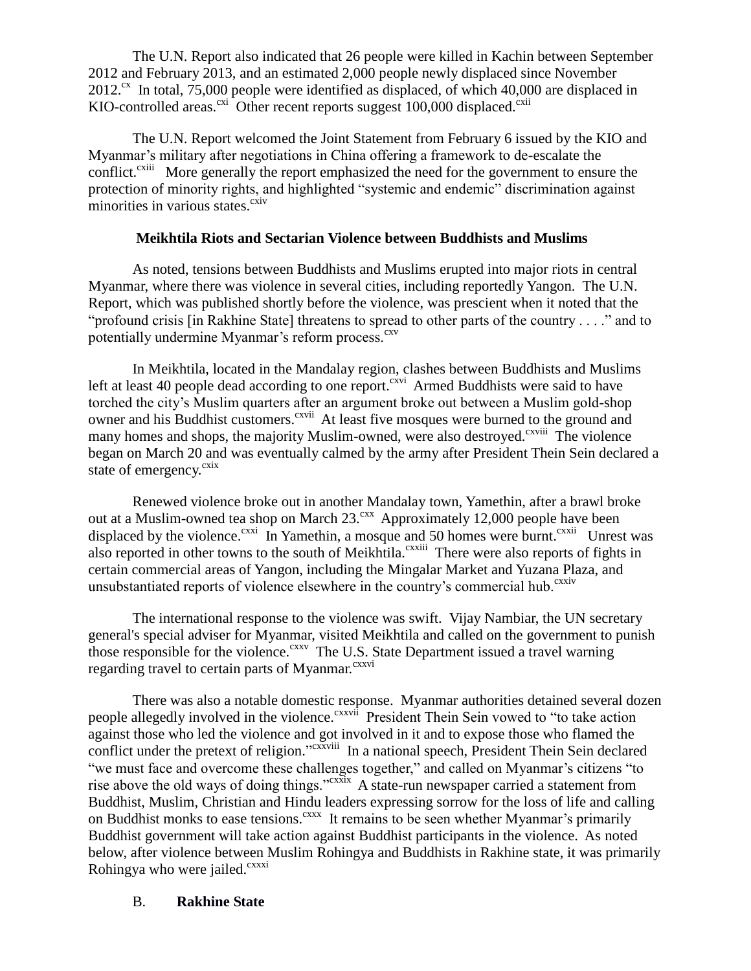The U.N. Report also indicated that 26 people were killed in Kachin between September 2012 and February 2013, and an estimated 2,000 people newly displaced since November  $2012$ <sup>cx</sup> In total, 75,000 people were identified as displaced, of which 40,000 are displaced in KIO-controlled areas.<sup>cxi</sup> Other recent reports suggest 100,000 displaced.<sup>cxii</sup>

The U.N. Report welcomed the Joint Statement from February 6 issued by the KIO and Myanmar's military after negotiations in China offering a framework to de-escalate the conflict.<sup>cxiii</sup> More generally the report emphasized the need for the government to ensure the protection of minority rights, and highlighted "systemic and endemic" discrimination against minorities in various states. $\frac{\text{cxiv}}{\text{cxiv}}$ 

# **Meikhtila Riots and Sectarian Violence between Buddhists and Muslims**

As noted, tensions between Buddhists and Muslims erupted into major riots in central Myanmar, where there was violence in several cities, including reportedly Yangon. The U.N. Report, which was published shortly before the violence, was prescient when it noted that the "profound crisis [in Rakhine State] threatens to spread to other parts of the country . . . ." and to potentially undermine Myanmar's reform process.<sup>cxv</sup>

In Meikhtila, located in the Mandalay region, clashes between Buddhists and Muslims left at least 40 people dead according to one report.<sup>cxvi</sup> Armed Buddhists were said to have torched the city's Muslim quarters after an argument broke out between a Muslim gold-shop owner and his Buddhist customers.<sup>cxvii</sup> At least five mosques were burned to the ground and many homes and shops, the majority Muslim-owned, were also destroyed.<sup>cxviii</sup> The violence began on March 20 and was eventually calmed by the army after President Thein Sein declared a state of emergency.<sup>cxix</sup>

Renewed violence broke out in another Mandalay town, Yamethin, after a brawl broke out at a Muslim-owned tea shop on March  $23.^{\text{cxx}}$  Approximately 12,000 people have been displaced by the violence.  $c$ <sup>xxi</sup> In Yamethin, a mosque and 50 homes were burnt.  $c$ <sup>xxii</sup> Unrest was also reported in other towns to the south of Meikhtila.<sup>cxxiii</sup> There were also reports of fights in certain commercial areas of Yangon, including the Mingalar Market and Yuzana Plaza, and unsubstantiated reports of violence elsewhere in the country's commercial hub.<sup>cxxiv</sup>

The international response to the violence was swift. Vijay Nambiar, the UN secretary general's special adviser for Myanmar, visited Meikhtila and called on the government to punish those responsible for the violence.<sup>cxxv</sup> The U.S. State Department issued a travel warning regarding travel to certain parts of Myanmar.<sup>cxxvi</sup>

There was also a notable domestic response. Myanmar authorities detained several dozen people allegedly involved in the violence.<sup>cxxvii</sup> President Thein Sein vowed to "to take action against those who led the violence and got involved in it and to expose those who flamed the conflict under the pretext of religion."<sup>cxxviii</sup> In a national speech, President Thein Sein declared "we must face and overcome these challenges together," and called on Myanmar's citizens "to rise above the old ways of doing things." $\frac{c}{x}$  A state-run newspaper carried a statement from Buddhist, Muslim, Christian and Hindu leaders expressing sorrow for the loss of life and calling on Buddhist monks to ease tensions.<sup>cxxx</sup> It remains to be seen whether Myanmar's primarily Buddhist government will take action against Buddhist participants in the violence. As noted below, after violence between Muslim Rohingya and Buddhists in Rakhine state, it was primarily Rohingya who were jailed.<sup>cxxxi</sup>

# <span id="page-7-0"></span>B. **Rakhine State**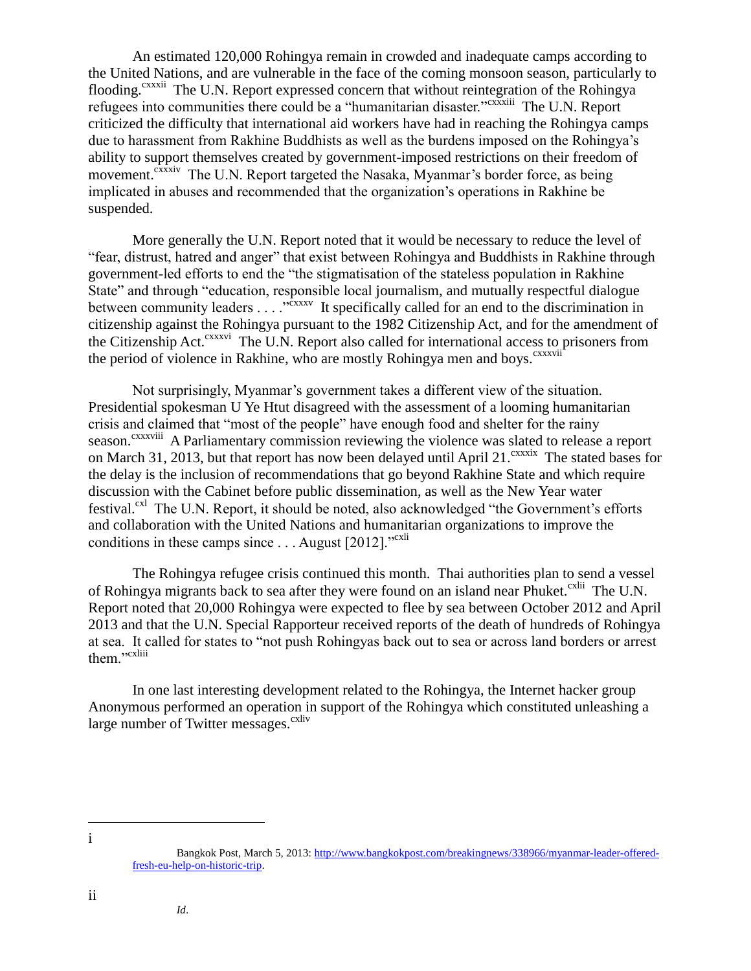An estimated 120,000 Rohingya remain in crowded and inadequate camps according to the United Nations, and are vulnerable in the face of the coming monsoon season, particularly to flooding.<sup>cxxxii</sup> The U.N. Report expressed concern that without reintegration of the Rohingya refugees into communities there could be a "humanitarian disaster."<sup>cxxxiii</sup> The U.N. Report criticized the difficulty that international aid workers have had in reaching the Rohingya camps due to harassment from Rakhine Buddhists as well as the burdens imposed on the Rohingya's ability to support themselves created by government-imposed restrictions on their freedom of movement.<sup>cxxxiv</sup> The U.N. Report targeted the Nasaka, Myanmar's border force, as being implicated in abuses and recommended that the organization's operations in Rakhine be suspended.

More generally the U.N. Report noted that it would be necessary to reduce the level of "fear, distrust, hatred and anger" that exist between Rohingya and Buddhists in Rakhine through government-led efforts to end the "the stigmatisation of the stateless population in Rakhine State" and through "education, responsible local journalism, and mutually respectful dialogue between community leaders . . . . "<sup>cxxxv</sup> It specifically called for an end to the discrimination in citizenship against the Rohingya pursuant to the 1982 Citizenship Act, and for the amendment of the Citizenship Act.<sup>cxxxvi</sup> The U.N. Report also called for international access to prisoners from the period of violence in Rakhine, who are mostly Rohingya men and boys.<sup>cxxxvii</sup>

Not surprisingly, Myanmar's government takes a different view of the situation. Presidential spokesman U Ye Htut disagreed with the assessment of a looming humanitarian crisis and claimed that "most of the people" have enough food and shelter for the rainy season.<sup>cxxxviii</sup> A Parliamentary commission reviewing the violence was slated to release a report on March 31, 2013, but that report has now been delayed until April 21.<sup>cxxxix</sup> The stated bases for the delay is the inclusion of recommendations that go beyond Rakhine State and which require discussion with the Cabinet before public dissemination, as well as the New Year water festival.<sup>cxl</sup> The U.N. Report, it should be noted, also acknowledged "the Government's efforts and collaboration with the United Nations and humanitarian organizations to improve the conditions in these camps since  $\dots$  August [2012]."<sup>cxli</sup>

The Rohingya refugee crisis continued this month. Thai authorities plan to send a vessel of Rohingya migrants back to sea after they were found on an island near Phuket.<sup>cxlii</sup> The U.N. Report noted that 20,000 Rohingya were expected to flee by sea between October 2012 and April 2013 and that the U.N. Special Rapporteur received reports of the death of hundreds of Rohingya at sea. It called for states to "not push Rohingyas back out to sea or across land borders or arrest them."<sup>cxliii</sup>

In one last interesting development related to the Rohingya, the Internet hacker group Anonymous performed an operation in support of the Rohingya which constituted unleashing a large number of Twitter messages.<sup>cxliv</sup>

 $\overline{a}$ i

ii

Bangkok Post, March 5, 2013[: http://www.bangkokpost.com/breakingnews/338966/myanmar-leader-offered](http://www.bangkokpost.com/breakingnews/338966/myanmar-leader-offered-fresh-eu-help-on-historic-trip)[fresh-eu-help-on-historic-trip.](http://www.bangkokpost.com/breakingnews/338966/myanmar-leader-offered-fresh-eu-help-on-historic-trip)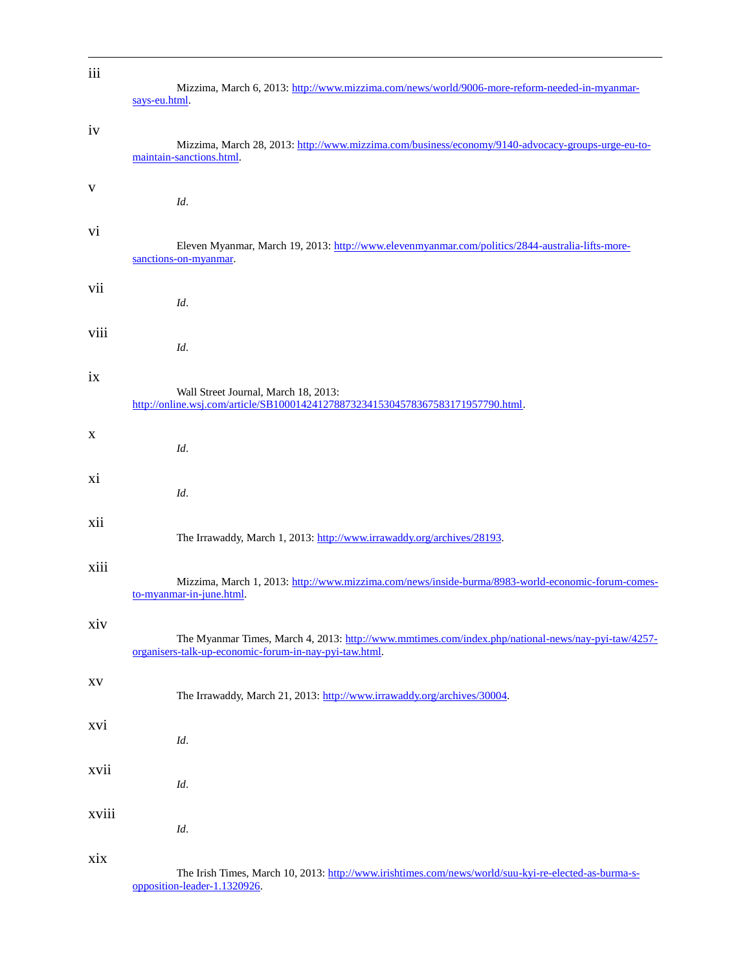| iii   | Mizzima, March 6, 2013: http://www.mizzima.com/news/world/9006-more-reform-needed-in-myanmar-<br>says-eu.html.                                               |
|-------|--------------------------------------------------------------------------------------------------------------------------------------------------------------|
| iv    | Mizzima, March 28, 2013: http://www.mizzima.com/business/economy/9140-advocacy-groups-urge-eu-to-<br>maintain-sanctions.html.                                |
| V     | Id.                                                                                                                                                          |
| vi    | Eleven Myanmar, March 19, 2013: http://www.elevenmyanmar.com/politics/2844-australia-lifts-more-<br>sanctions-on-myanmar.                                    |
| vii   | Id.                                                                                                                                                          |
| viii  | Id.                                                                                                                                                          |
| ix    | Wall Street Journal, March 18, 2013:<br>http://online.wsj.com/article/SB10001424127887323415304578367583171957790.html.                                      |
| X     | Id.                                                                                                                                                          |
| хi    | Id.                                                                                                                                                          |
| xii   | The Irrawaddy, March 1, 2013: http://www.irrawaddy.org/archives/28193.                                                                                       |
| xiii  | Mizzima, March 1, 2013: http://www.mizzima.com/news/inside-burma/8983-world-economic-forum-comes-<br>to-myanmar-in-june.html.                                |
| xiv   | The Myanmar Times, March 4, 2013: http://www.mmtimes.com/index.php/national-news/nay-pyi-taw/4257-<br>organisers-talk-up-economic-forum-in-nay-pyi-taw.html. |
| XV    | The Irrawaddy, March 21, 2013: http://www.irrawaddy.org/archives/30004.                                                                                      |
| xvi   | Id.                                                                                                                                                          |
| xvii  | Id.                                                                                                                                                          |
| xviii | Id.                                                                                                                                                          |
| xix   |                                                                                                                                                              |

 $\overline{a}$ 

The Irish Times, March 10, 2013[: http://www.irishtimes.com/news/world/suu-kyi-re-elected-as-burma-s](http://www.irishtimes.com/news/world/suu-kyi-re-elected-as-burma-s-opposition-leader-1.1320926)[opposition-leader-1.1320926.](http://www.irishtimes.com/news/world/suu-kyi-re-elected-as-burma-s-opposition-leader-1.1320926)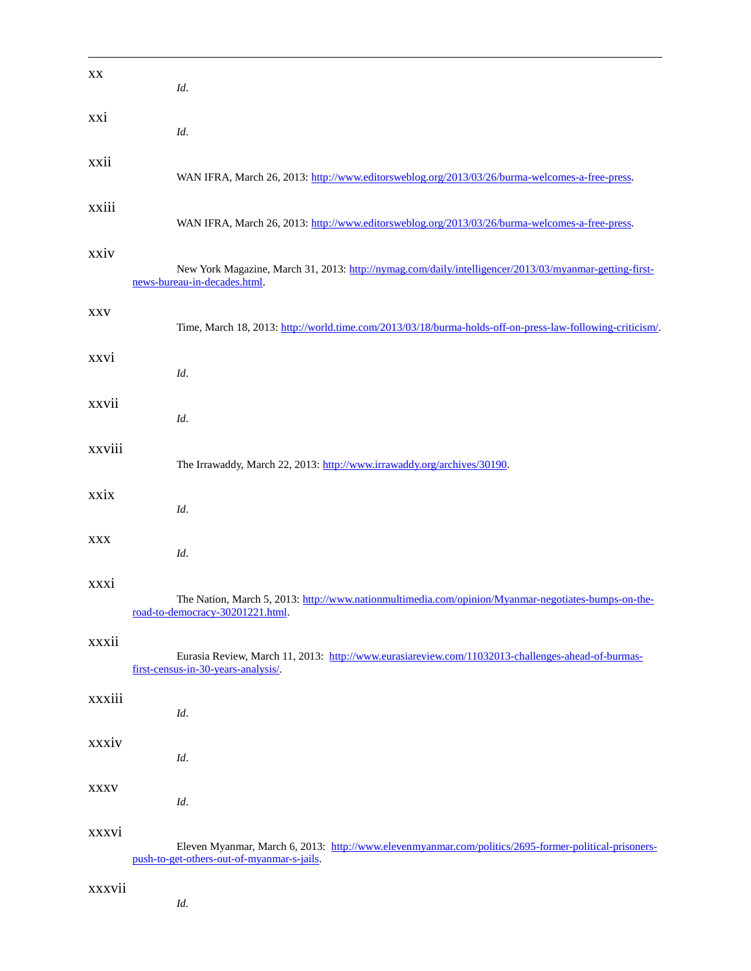| XX          | Id.                                                                                                                                                 |
|-------------|-----------------------------------------------------------------------------------------------------------------------------------------------------|
| xxi         | Id.                                                                                                                                                 |
| xxii        | WAN IFRA, March 26, 2013: http://www.editorsweblog.org/2013/03/26/burma-welcomes-a-free-press.                                                      |
| xxiii       | WAN IFRA, March 26, 2013: http://www.editorsweblog.org/2013/03/26/burma-welcomes-a-free-press.                                                      |
| xxiv        | New York Magazine, March 31, 2013: http://nymag.com/daily/intelligencer/2013/03/myanmar-getting-first-<br>news-bureau-in-decades.html.              |
| <b>XXV</b>  | Time, March 18, 2013: http://world.time.com/2013/03/18/burma-holds-off-on-press-law-following-criticism/.                                           |
| xxvi        | Id.                                                                                                                                                 |
| xxvii       | Id.                                                                                                                                                 |
| xxviii      | The Irrawaddy, March 22, 2013: http://www.irrawaddy.org/archives/30190.                                                                             |
| xxix        | Id.                                                                                                                                                 |
| XXX         | Id.                                                                                                                                                 |
| xxxi        | The Nation, March 5, 2013: http://www.nationmultimedia.com/opinion/Myanmar-negotiates-bumps-on-the-<br>road-to-democracy-30201221.html.             |
| xxxii       | Eurasia Review, March 11, 2013: http://www.eurasiareview.com/11032013-challenges-ahead-of-burmas-<br>first-census-in-30-years-analysis/.            |
| xxxiii      | Id.                                                                                                                                                 |
| xxxiv       | Id.                                                                                                                                                 |
| <b>XXXV</b> | Id.                                                                                                                                                 |
| xxxvi       | Eleven Myanmar, March 6, 2013: http://www.elevenmyanmar.com/politics/2695-former-political-prisoners-<br>push-to-get-others-out-of-myanmar-s-jails. |

*Id.*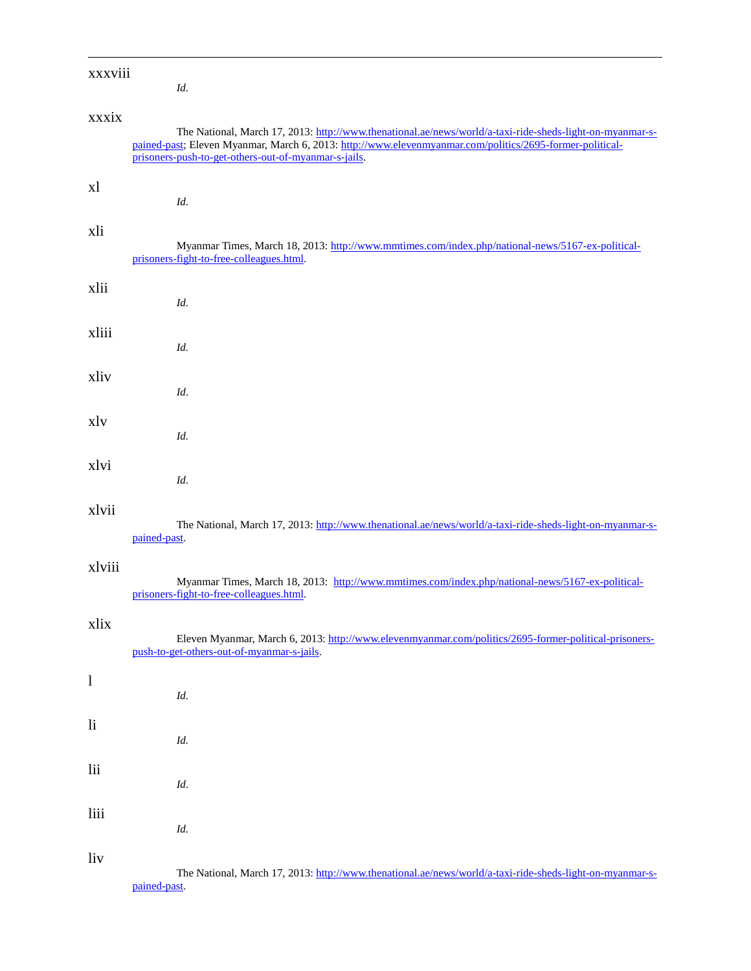| xxxviii      | Id.                                                                                                                                                                                                                                                                          |
|--------------|------------------------------------------------------------------------------------------------------------------------------------------------------------------------------------------------------------------------------------------------------------------------------|
| xxxix        | The National, March 17, 2013: http://www.thenational.ae/news/world/a-taxi-ride-sheds-light-on-myanmar-s-<br>pained-past; Eleven Myanmar, March 6, 2013: http://www.elevenmyanmar.com/politics/2695-former-political-<br>prisoners-push-to-get-others-out-of-myanmar-s-jails. |
| xl           | Id.                                                                                                                                                                                                                                                                          |
| xli          | Myanmar Times, March 18, 2013: http://www.mmtimes.com/index.php/national-news/5167-ex-political-<br>prisoners-fight-to-free-colleagues.html.                                                                                                                                 |
| xlii         | Id.                                                                                                                                                                                                                                                                          |
| xliii        | Id.                                                                                                                                                                                                                                                                          |
| xliv         | Id.                                                                                                                                                                                                                                                                          |
| xly          | Id.                                                                                                                                                                                                                                                                          |
| xlvi         | Id.                                                                                                                                                                                                                                                                          |
| xlvii        | The National, March 17, 2013: http://www.thenational.ae/news/world/a-taxi-ride-sheds-light-on-myanmar-s-<br>pained-past.                                                                                                                                                     |
| xlviii       | Myanmar Times, March 18, 2013: http://www.mmtimes.com/index.php/national-news/5167-ex-political-<br>prisoners-fight-to-free-colleagues.html.                                                                                                                                 |
| xlix         | Eleven Myanmar, March 6, 2013: http://www.elevenmyanmar.com/politics/2695-former-political-prisoners-<br>push-to-get-others-out-of-myanmar-s-jails.                                                                                                                          |
| $\mathbf{1}$ | Id.                                                                                                                                                                                                                                                                          |
| $\rm{li}$    | Id.                                                                                                                                                                                                                                                                          |
| lii          | Id.                                                                                                                                                                                                                                                                          |
| liii         | Id.                                                                                                                                                                                                                                                                          |
| liv          | The National, March 17, 2013: http://www.thenational.ae/news/world/a-taxi-ride-sheds-light-on-myanmar-s-                                                                                                                                                                     |

[pained-past.](http://www.thenational.ae/news/world/a-taxi-ride-sheds-light-on-myanmar-s-pained-past)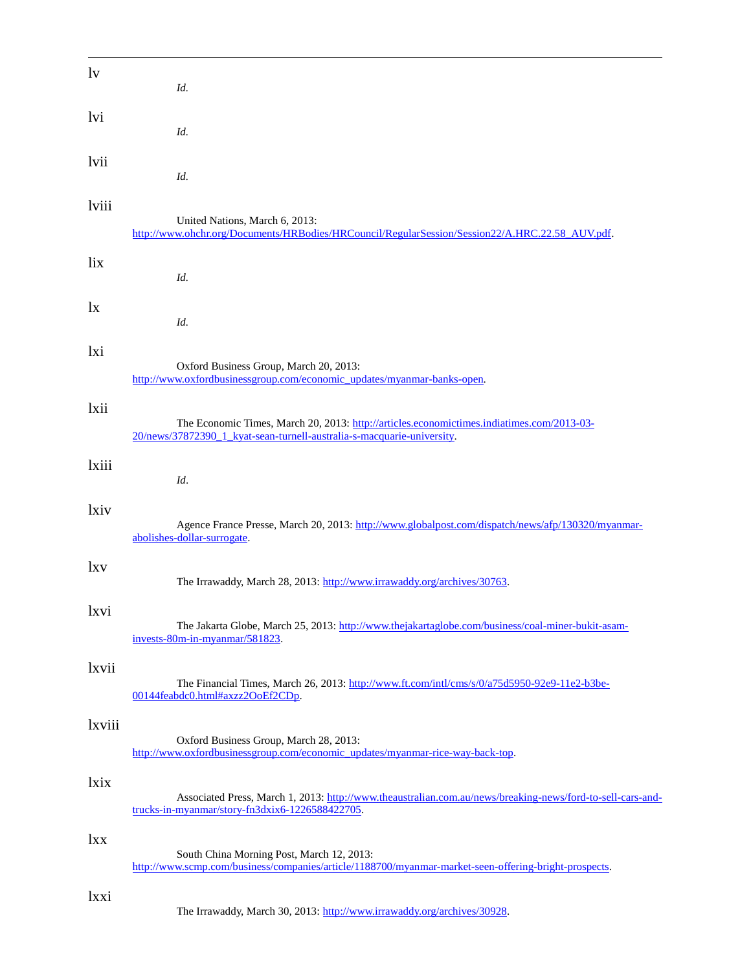| lv     | Id.                                                                                                                                                                 |
|--------|---------------------------------------------------------------------------------------------------------------------------------------------------------------------|
| lvi    | Id.                                                                                                                                                                 |
| lvii   | Id.                                                                                                                                                                 |
| lviii  | United Nations, March 6, 2013:<br>http://www.ohchr.org/Documents/HRBodies/HRCouncil/RegularSession/Session22/A.HRC.22.58_AUV.pdf.                                   |
| lix    | Id.                                                                                                                                                                 |
| lx     | Id.                                                                                                                                                                 |
| lxi    | Oxford Business Group, March 20, 2013:<br>http://www.oxfordbusinessgroup.com/economic_updates/myanmar-banks-open.                                                   |
| lxii   | The Economic Times, March 20, 2013: http://articles.economictimes.indiatimes.com/2013-03-<br>20/news/37872390 1 kyat-sean-turnell-australia-s-macquarie-university. |
| lxiii  | Id.                                                                                                                                                                 |
| lxiv   | Agence France Presse, March 20, 2013: http://www.globalpost.com/dispatch/news/afp/130320/myanmar-<br>abolishes-dollar-surrogate.                                    |
| lxv    | The Irrawaddy, March 28, 2013: http://www.irrawaddy.org/archives/30763.                                                                                             |
| lxvi   | The Jakarta Globe, March 25, 2013: http://www.thejakartaglobe.com/business/coal-miner-bukit-asam-<br>invests-80m-in-myanmar/581823.                                 |
| lxvii  | The Financial Times, March 26, 2013: http://www.ft.com/intl/cms/s/0/a75d5950-92e9-11e2-b3be-<br>00144feabdc0.html#axzz2OoEf2CDp.                                    |
| lxviii | Oxford Business Group, March 28, 2013:<br>http://www.oxfordbusinessgroup.com/economic_updates/myanmar-rice-way-back-top.                                            |
| lxix   | Associated Press, March 1, 2013: http://www.theaustralian.com.au/news/breaking-news/ford-to-sell-cars-and-<br>trucks-in-myanmar/story-fn3dxix6-1226588422705.       |
| lxx    | South China Morning Post, March 12, 2013:<br>http://www.scmp.com/business/companies/article/1188700/myanmar-market-seen-offering-bright-prospects.                  |
| lxxi   | The Irrawaddy, March 30, 2013: http://www.irrawaddy.org/archives/30928.                                                                                             |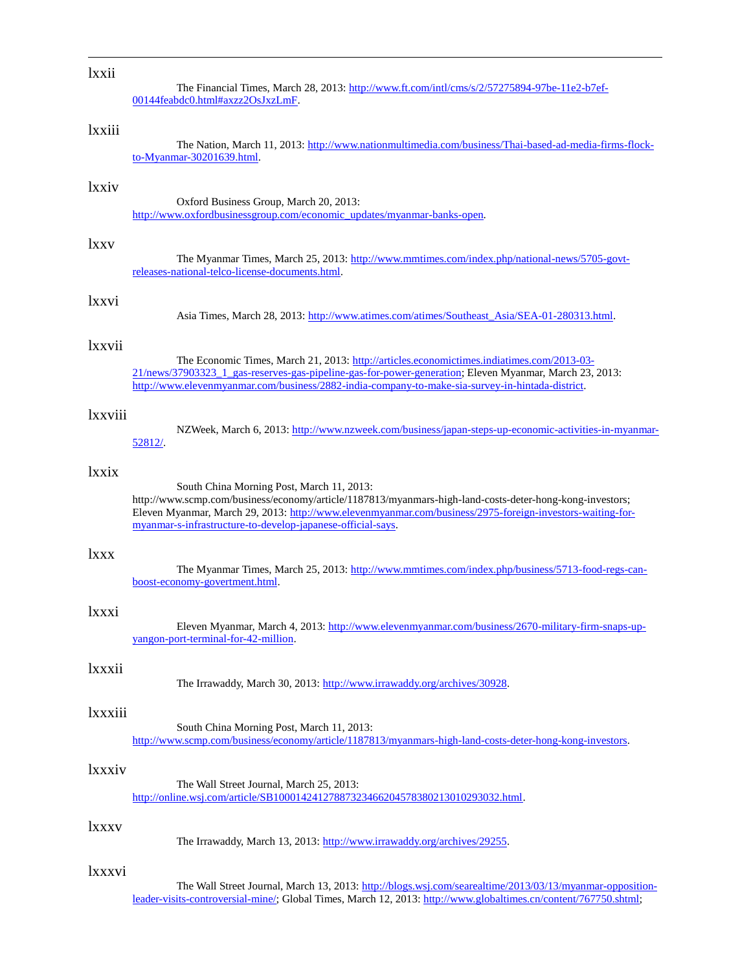### lxxii

 $\overline{a}$ 

The Financial Times, March 28, 2013[: http://www.ft.com/intl/cms/s/2/57275894-97be-11e2-b7ef-](http://www.ft.com/intl/cms/s/2/57275894-97be-11e2-b7ef-00144feabdc0.html#axzz2OsJxzLmF)[00144feabdc0.html#axzz2OsJxzLmF.](http://www.ft.com/intl/cms/s/2/57275894-97be-11e2-b7ef-00144feabdc0.html#axzz2OsJxzLmF)

# lxxiii

The Nation, March 11, 2013: [http://www.nationmultimedia.com/business/Thai-based-ad-media-firms-flock](http://www.nationmultimedia.com/business/Thai-based-ad-media-firms-flock-to-Myanmar-30201639.html)[to-Myanmar-30201639.html.](http://www.nationmultimedia.com/business/Thai-based-ad-media-firms-flock-to-Myanmar-30201639.html)

### lxxiv

Oxford Business Group, March 20, 2013: [http://www.oxfordbusinessgroup.com/economic\\_updates/myanmar-banks-open.](http://www.oxfordbusinessgroup.com/economic_updates/myanmar-banks-open)

# lxxv

The Myanmar Times, March 25, 2013: [http://www.mmtimes.com/index.php/national-news/5705-govt](http://www.mmtimes.com/index.php/national-news/5705-govt-releases-national-telco-license-documents.html)[releases-national-telco-license-documents.html.](http://www.mmtimes.com/index.php/national-news/5705-govt-releases-national-telco-license-documents.html)

#### lxxvi

Asia Times, March 28, 2013[: http://www.atimes.com/atimes/Southeast\\_Asia/SEA-01-280313.html.](http://www.atimes.com/atimes/Southeast_Asia/SEA-01-280313.html)

# lxxvii

The Economic Times, March 21, 2013[: http://articles.economictimes.indiatimes.com/2013-03-](http://articles.economictimes.indiatimes.com/2013-03-21/news/37903323_1_gas-reserves-gas-pipeline-gas-for-power-generation) [21/news/37903323\\_1\\_gas-reserves-gas-pipeline-gas-for-power-generation;](http://articles.economictimes.indiatimes.com/2013-03-21/news/37903323_1_gas-reserves-gas-pipeline-gas-for-power-generation) Eleven Myanmar, March 23, 2013: [http://www.elevenmyanmar.com/business/2882-india-company-to-make-sia-survey-in-hintada-district.](http://www.elevenmyanmar.com/business/2882-india-company-to-make-sia-survey-in-hintada-district)

### lxxviii

NZWeek, March 6, 2013[: http://www.nzweek.com/business/japan-steps-up-economic-activities-in-myanmar-](http://www.nzweek.com/business/japan-steps-up-economic-activities-in-myanmar-52812/)[52812/.](http://www.nzweek.com/business/japan-steps-up-economic-activities-in-myanmar-52812/)

# lxxix

South China Morning Post, March 11, 2013: http://www.scmp.com/business/economy/article/1187813/myanmars-high-land-costs-deter-hong-kong-investors; Eleven Myanmar, March 29, 2013[: http://www.elevenmyanmar.com/business/2975-foreign-investors-waiting-for](http://www.elevenmyanmar.com/business/2975-foreign-investors-waiting-for-myanmar-s-infrastructure-to-develop-japanese-official-says)[myanmar-s-infrastructure-to-develop-japanese-official-says.](http://www.elevenmyanmar.com/business/2975-foreign-investors-waiting-for-myanmar-s-infrastructure-to-develop-japanese-official-says)

# lxxx

The Myanmar Times, March 25, 2013: [http://www.mmtimes.com/index.php/business/5713-food-regs-can](http://www.mmtimes.com/index.php/business/5713-food-regs-can-boost-economy-govertment.html)[boost-economy-govertment.html.](http://www.mmtimes.com/index.php/business/5713-food-regs-can-boost-economy-govertment.html)

#### lxxxi

Eleven Myanmar, March 4, 2013: [http://www.elevenmyanmar.com/business/2670-military-firm-snaps-up](http://www.elevenmyanmar.com/business/2670-military-firm-snaps-up-yangon-port-terminal-for-42-million)[yangon-port-terminal-for-42-million.](http://www.elevenmyanmar.com/business/2670-military-firm-snaps-up-yangon-port-terminal-for-42-million)

### lxxxii

The Irrawaddy, March 30, 2013: [http://www.irrawaddy.org/archives/30928.](http://www.irrawaddy.org/archives/30928)

#### lxxxiii

South China Morning Post, March 11, 2013: [http://www.scmp.com/business/economy/article/1187813/myanmars-high-land-costs-deter-hong-kong-investors.](http://www.scmp.com/business/economy/article/1187813/myanmars-high-land-costs-deter-hong-kong-investors)

#### lxxxiv

The Wall Street Journal, March 25, 2013: [http://online.wsj.com/article/SB10001424127887323466204578380213010293032.html.](http://online.wsj.com/article/SB10001424127887323466204578380213010293032.html)

#### lxxxv

The Irrawaddy, March 13, 2013: [http://www.irrawaddy.org/archives/29255.](http://www.irrawaddy.org/archives/29255)

# lxxxvi

The Wall Street Journal, March 13, 2013: [http://blogs.wsj.com/searealtime/2013/03/13/myanmar-opposition](http://blogs.wsj.com/searealtime/2013/03/13/myanmar-opposition-leader-visits-controversial-mine/)[leader-visits-controversial-mine/;](http://blogs.wsj.com/searealtime/2013/03/13/myanmar-opposition-leader-visits-controversial-mine/) Global Times, March 12, 2013[: http://www.globaltimes.cn/content/767750.shtml;](http://www.globaltimes.cn/content/767750.shtml)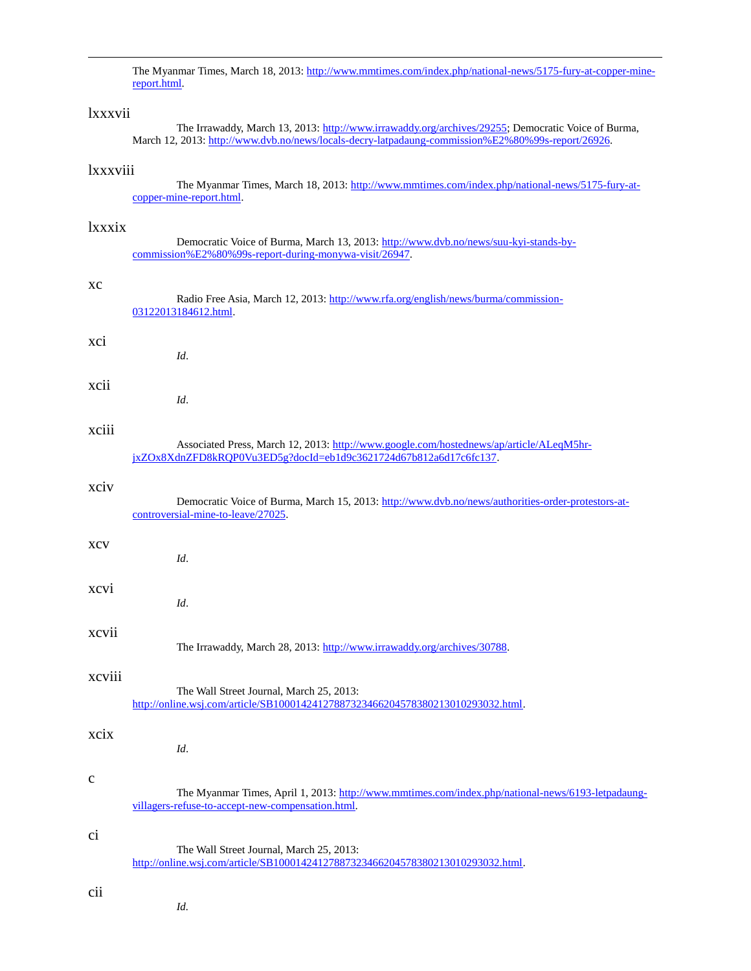The Myanmar Times, March 18, 2013: [http://www.mmtimes.com/index.php/national-news/5175-fury-at-copper-mine](http://www.mmtimes.com/index.php/national-news/5175-fury-at-copper-mine-report.html)[report.html.](http://www.mmtimes.com/index.php/national-news/5175-fury-at-copper-mine-report.html)

### lxxxvii

 $\overline{a}$ 

The Irrawaddy, March 13, 2013: [http://www.irrawaddy.org/archives/29255;](http://www.irrawaddy.org/archives/29255) Democratic Voice of Burma, March 12, 2013: [http://www.dvb.no/news/locals-decry-latpadaung-commission%E2%80%99s-report/26926.](http://www.dvb.no/news/locals-decry-latpadaung-commission’s-report/26926)

### lxxxviii

The Myanmar Times, March 18, 2013: [http://www.mmtimes.com/index.php/national-news/5175-fury-at](http://www.mmtimes.com/index.php/national-news/5175-fury-at-copper-mine-report.html)[copper-mine-report.html.](http://www.mmtimes.com/index.php/national-news/5175-fury-at-copper-mine-report.html)

### lxxxix

Democratic Voice of Burma, March 13, 2013[: http://www.dvb.no/news/suu-kyi-stands-by](http://www.dvb.no/news/suu-kyi-stands-by-commission’s-report-during-monywa-visit/26947)[commission%E2%80%99s-report-during-monywa-visit/26947.](http://www.dvb.no/news/suu-kyi-stands-by-commission’s-report-during-monywa-visit/26947)

#### xc

Radio Free Asia, March 12, 2013[: http://www.rfa.org/english/news/burma/commission-](http://www.rfa.org/english/news/burma/commission-03122013184612.html)[03122013184612.html.](http://www.rfa.org/english/news/burma/commission-03122013184612.html)

#### xci

xcii

### xciii

Associated Press, March 12, 2013: [http://www.google.com/hostednews/ap/article/ALeqM5hr](http://www.google.com/hostednews/ap/article/ALeqM5hr-jxZOx8XdnZFD8kRQP0Vu3ED5g?docId=eb1d9c3621724d67b812a6d17c6fc137)[jxZOx8XdnZFD8kRQP0Vu3ED5g?docId=eb1d9c3621724d67b812a6d17c6fc137.](http://www.google.com/hostednews/ap/article/ALeqM5hr-jxZOx8XdnZFD8kRQP0Vu3ED5g?docId=eb1d9c3621724d67b812a6d17c6fc137)

### xciv

Democratic Voice of Burma, March 15, 2013[: http://www.dvb.no/news/authorities-order-protestors-at](http://www.dvb.no/news/authorities-order-protestors-at-controversial-mine-to-leave/27025)[controversial-mine-to-leave/27025.](http://www.dvb.no/news/authorities-order-protestors-at-controversial-mine-to-leave/27025)

#### xcv

xcvi

#### xcvii

The Irrawaddy, March 28, 2013: [http://www.irrawaddy.org/archives/30788.](http://www.irrawaddy.org/archives/30788)

### xcviii

#### The Wall Street Journal, March 25, 2013: [http://online.wsj.com/article/SB10001424127887323466204578380213010293032.html.](http://online.wsj.com/article/SB10001424127887323466204578380213010293032.html)

### xcix

*Id*.

*Id*.

*Id*.

*Id*.

*Id*.

#### c

The Myanmar Times, April 1, 2013[: http://www.mmtimes.com/index.php/national-news/6193-letpadaung](http://www.mmtimes.com/index.php/national-news/6193-letpadaung-villagers-refuse-to-accept-new-compensation.html)[villagers-refuse-to-accept-new-compensation.html.](http://www.mmtimes.com/index.php/national-news/6193-letpadaung-villagers-refuse-to-accept-new-compensation.html)

#### ci

The Wall Street Journal, March 25, 2013: [http://online.wsj.com/article/SB10001424127887323466204578380213010293032.html.](http://online.wsj.com/article/SB10001424127887323466204578380213010293032.html)

#### cii

*Id.*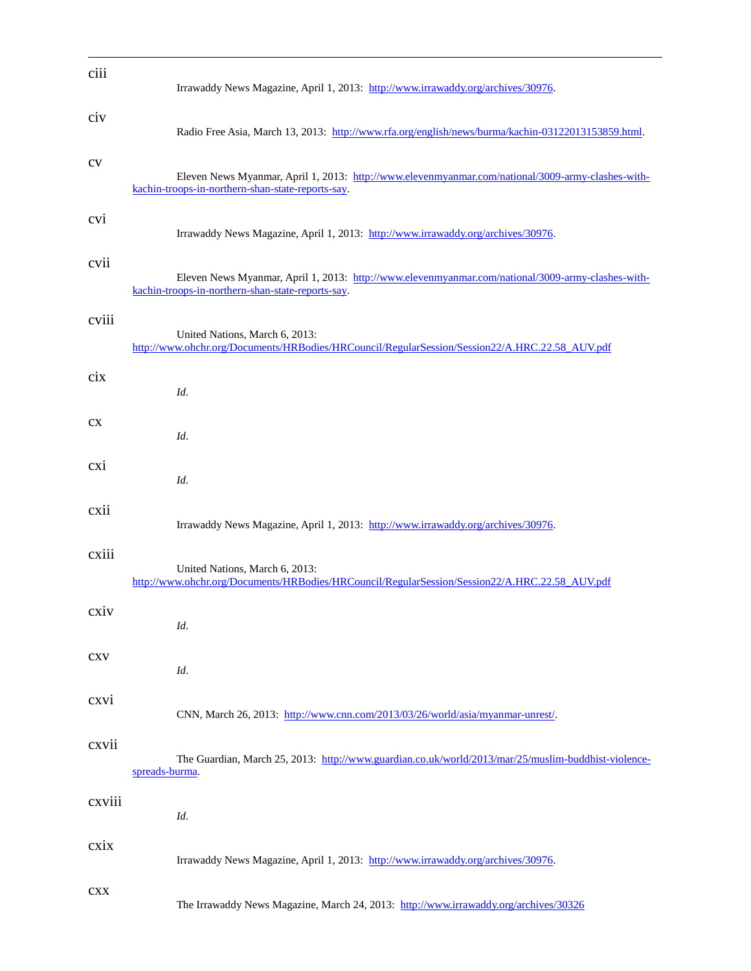| ciii      | Irrawaddy News Magazine, April 1, 2013: http://www.irrawaddy.org/archives/30976.                                                                       |
|-----------|--------------------------------------------------------------------------------------------------------------------------------------------------------|
| civ       | Radio Free Asia, March 13, 2013: http://www.rfa.org/english/news/burma/kachin-03122013153859.html.                                                     |
| $\rm{cv}$ | Eleven News Myanmar, April 1, 2013: http://www.elevenmyanmar.com/national/3009-army-clashes-with-<br>kachin-troops-in-northern-shan-state-reports-say. |
| cvi       | Irrawaddy News Magazine, April 1, 2013: http://www.irrawaddy.org/archives/30976.                                                                       |
| cvii      | Eleven News Myanmar, April 1, 2013: http://www.elevenmyanmar.com/national/3009-army-clashes-with-<br>kachin-troops-in-northern-shan-state-reports-say. |
| cviii     | United Nations, March 6, 2013:<br>http://www.ohchr.org/Documents/HRBodies/HRCouncil/RegularSession/Session22/A.HRC.22.58_AUV.pdf                       |
| cix       | Id.                                                                                                                                                    |
| cx        | Id.                                                                                                                                                    |
| cxi       | Id.                                                                                                                                                    |
| cxii      | Irrawaddy News Magazine, April 1, 2013: http://www.irrawaddy.org/archives/30976.                                                                       |
| cxiii     | United Nations, March 6, 2013:<br>http://www.ohchr.org/Documents/HRBodies/HRCouncil/RegularSession/Session22/A.HRC.22.58_AUV.pdf                       |
| cxiv      | Id.                                                                                                                                                    |
| cxy       | Id.                                                                                                                                                    |
| cxvi      | CNN, March 26, 2013: http://www.cnn.com/2013/03/26/world/asia/myanmar-unrest/.                                                                         |
| cxvii     | The Guardian, March 25, 2013: http://www.guardian.co.uk/world/2013/mar/25/muslim-buddhist-violence-<br>spreads-burma.                                  |
| cxviii    | Id.                                                                                                                                                    |
| схіх      | Irrawaddy News Magazine, April 1, 2013: http://www.irrawaddy.org/archives/30976.                                                                       |
| cxx       | The Irrawaddy News Magazine, March 24, 2013: http://www.irrawaddy.org/archives/30326                                                                   |

 $\overline{a}$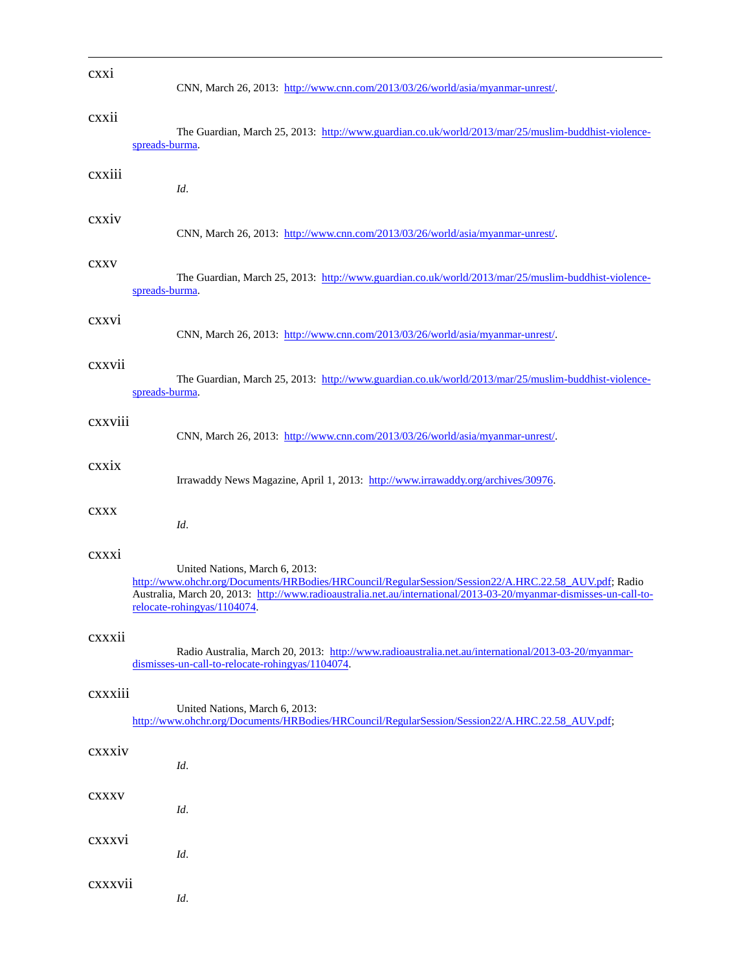| cxxi        | CNN, March 26, 2013: http://www.cnn.com/2013/03/26/world/asia/myanmar-unrest/.                                                                                                                                                                                                               |
|-------------|----------------------------------------------------------------------------------------------------------------------------------------------------------------------------------------------------------------------------------------------------------------------------------------------|
| cxxii       | The Guardian, March 25, 2013: http://www.guardian.co.uk/world/2013/mar/25/muslim-buddhist-violence-<br>spreads-burma.                                                                                                                                                                        |
| cxxiii      | Id.                                                                                                                                                                                                                                                                                          |
| cxxiv       | CNN, March 26, 2013: http://www.cnn.com/2013/03/26/world/asia/myanmar-unrest/.                                                                                                                                                                                                               |
| <b>CXXV</b> | The Guardian, March 25, 2013: http://www.guardian.co.uk/world/2013/mar/25/muslim-buddhist-violence-<br>spreads-burma.                                                                                                                                                                        |
| cxxvi       | CNN, March 26, 2013: http://www.cnn.com/2013/03/26/world/asia/myanmar-unrest/.                                                                                                                                                                                                               |
| cxxvii      | The Guardian, March 25, 2013: http://www.guardian.co.uk/world/2013/mar/25/muslim-buddhist-violence-<br>spreads-burma.                                                                                                                                                                        |
| cxxviii     | CNN, March 26, 2013: http://www.cnn.com/2013/03/26/world/asia/myanmar-unrest/.                                                                                                                                                                                                               |
| cxxix       | Irrawaddy News Magazine, April 1, 2013: http://www.irrawaddy.org/archives/30976.                                                                                                                                                                                                             |
| <b>CXXX</b> | Id.                                                                                                                                                                                                                                                                                          |
| cxxxi       | United Nations, March 6, 2013:<br>http://www.ohchr.org/Documents/HRBodies/HRCouncil/RegularSession/Session22/A.HRC.22.58_AUV.pdf; Radio<br>Australia, March 20, 2013: http://www.radioaustralia.net.au/international/2013-03-20/myanmar-dismisses-un-call-to-<br>relocate-rohingyas/1104074. |
| cxxxii      | Radio Australia, March 20, 2013: http://www.radioaustralia.net.au/international/2013-03-20/myanmar-<br>dismisses-un-call-to-relocate-rohingyas/1104074.                                                                                                                                      |
| cxxxiii     | United Nations, March 6, 2013:<br>http://www.ohchr.org/Documents/HRBodies/HRCouncil/RegularSession/Session22/A.HRC.22.58_AUV.pdf;                                                                                                                                                            |
| cxxxiv      | Id.                                                                                                                                                                                                                                                                                          |
| CXXXV       | Id.                                                                                                                                                                                                                                                                                          |
| cxxxvi      | Id.                                                                                                                                                                                                                                                                                          |
| cxxxvii     | Id.                                                                                                                                                                                                                                                                                          |